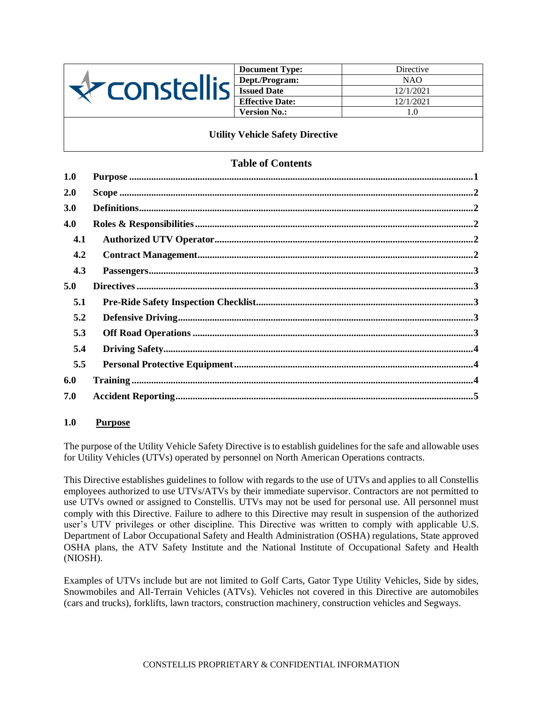

| <b>Document Type:</b>  | Directive |
|------------------------|-----------|
| Dept./Program:         | NAO       |
| <b>Issued Date</b>     | 12/1/2021 |
| <b>Effective Date:</b> | 12/1/2021 |
| <b>Version No.:</b>    | 1.0       |

**Utility Vehicle Safety Directive**

# **Table of Contents**

| 1.0 |  |
|-----|--|
| 2.0 |  |
| 3.0 |  |
| 4.0 |  |
| 4.1 |  |
| 4.2 |  |
| 4.3 |  |
| 5.0 |  |
| 5.1 |  |
| 5.2 |  |
| 5.3 |  |
| 5.4 |  |
| 5.5 |  |
| 6.0 |  |
| 7.0 |  |

#### <span id="page-0-0"></span>**1.0 Purpose**

The purpose of the Utility Vehicle Safety Directive is to establish guidelines for the safe and allowable uses for Utility Vehicles (UTVs) operated by personnel on North American Operations contracts.

This Directive establishes guidelines to follow with regards to the use of UTVs and applies to all Constellis employees authorized to use UTVs/ATVs by their immediate supervisor. Contractors are not permitted to use UTVs owned or assigned to Constellis. UTVs may not be used for personal use. All personnel must comply with this Directive. Failure to adhere to this Directive may result in suspension of the authorized user's UTV privileges or other discipline. This Directive was written to comply with applicable U.S. Department of Labor Occupational Safety and Health Administration (OSHA) regulations, State approved OSHA plans, the ATV Safety Institute and the National Institute of Occupational Safety and Health (NIOSH).

Examples of UTVs include but are not limited to Golf Carts, Gator Type Utility Vehicles, Side by sides, Snowmobiles and All-Terrain Vehicles (ATVs). Vehicles not covered in this Directive are automobiles (cars and trucks), forklifts, lawn tractors, construction machinery, construction vehicles and Segways.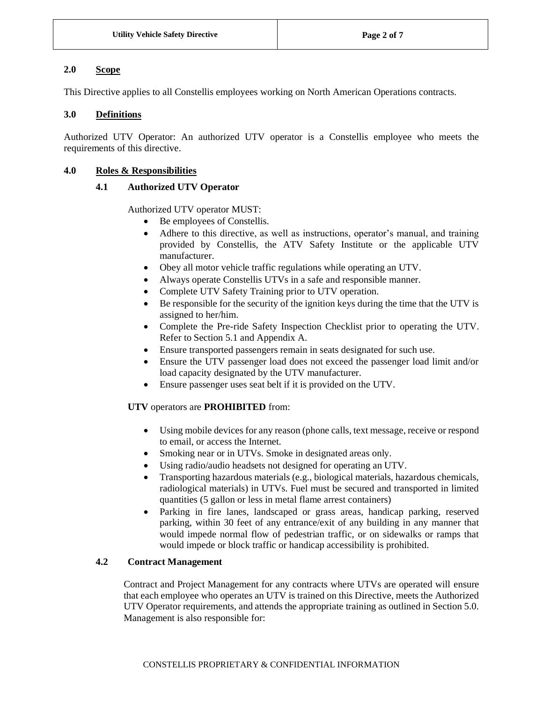## <span id="page-1-0"></span>**2.0 Scope**

This Directive applies to all Constellis employees working on North American Operations contracts.

## <span id="page-1-1"></span>**3.0 Definitions**

Authorized UTV Operator: An authorized UTV operator is a Constellis employee who meets the requirements of this directive.

### <span id="page-1-3"></span><span id="page-1-2"></span>**4.0 Roles & Responsibilities**

#### **4.1 Authorized UTV Operator**

Authorized UTV operator MUST:

- Be employees of Constellis.
- Adhere to this directive, as well as instructions, operator's manual, and training provided by Constellis, the ATV Safety Institute or the applicable UTV manufacturer.
- Obey all motor vehicle traffic regulations while operating an UTV.
- Always operate Constellis UTVs in a safe and responsible manner.
- Complete UTV Safety Training prior to UTV operation.
- Be responsible for the security of the ignition keys during the time that the UTV is assigned to her/him.
- Complete the Pre-ride Safety Inspection Checklist prior to operating the UTV. Refer to Section 5.1 and Appendix A.
- Ensure transported passengers remain in seats designated for such use.
- Ensure the UTV passenger load does not exceed the passenger load limit and/or load capacity designated by the UTV manufacturer.
- Ensure passenger uses seat belt if it is provided on the UTV.

## **UTV** operators are **PROHIBITED** from:

- Using mobile devices for any reason (phone calls, text message, receive or respond to email, or access the Internet.
- Smoking near or in UTVs. Smoke in designated areas only.
- Using radio/audio headsets not designed for operating an UTV.
- Transporting hazardous materials (e.g., biological materials, hazardous chemicals, radiological materials) in UTVs. Fuel must be secured and transported in limited quantities (5 gallon or less in metal flame arrest containers)
- Parking in fire lanes, landscaped or grass areas, handicap parking, reserved parking, within 30 feet of any entrance/exit of any building in any manner that would impede normal flow of pedestrian traffic, or on sidewalks or ramps that would impede or block traffic or handicap accessibility is prohibited.

## <span id="page-1-4"></span>**4.2 Contract Management**

Contract and Project Management for any contracts where UTVs are operated will ensure that each employee who operates an UTV is trained on this Directive, meets the Authorized UTV Operator requirements, and attends the appropriate training as outlined in Section 5.0. Management is also responsible for: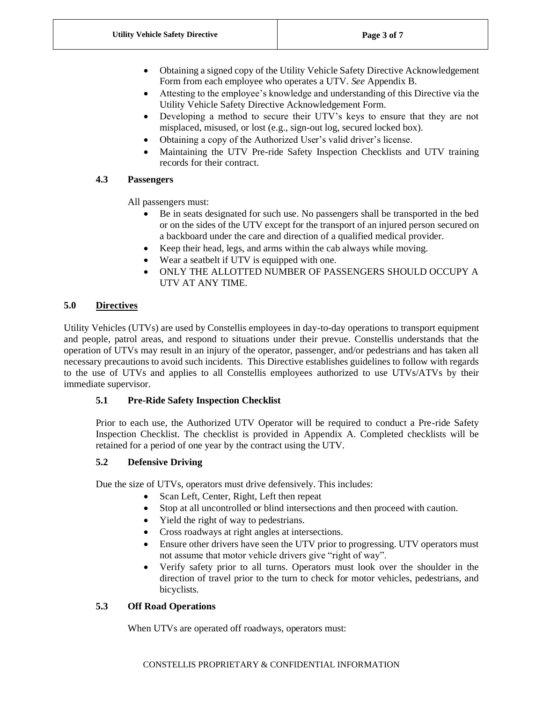- Obtaining a signed copy of the Utility Vehicle Safety Directive Acknowledgement Form from each employee who operates a UTV. *See* Appendix B.
- Attesting to the employee's knowledge and understanding of this Directive via the Utility Vehicle Safety Directive Acknowledgement Form.
- Developing a method to secure their UTV's keys to ensure that they are not misplaced, misused, or lost (e.g., sign-out log, secured locked box).
- Obtaining a copy of the Authorized User's valid driver's license.
- Maintaining the UTV Pre-ride Safety Inspection Checklists and UTV training records for their contract.

# <span id="page-2-0"></span>**4.3 Passengers**

All passengers must:

- Be in seats designated for such use. No passengers shall be transported in the bed or on the sides of the UTV except for the transport of an injured person secured on a backboard under the care and direction of a qualified medical provider.
- Keep their head, legs, and arms within the cab always while moving.
- Wear a seatbelt if UTV is equipped with one.
- ONLY THE ALLOTTED NUMBER OF PASSENGERS SHOULD OCCUPY A UTV AT ANY TIME.

# <span id="page-2-1"></span>**5.0 Directives**

Utility Vehicles (UTVs) are used by Constellis employees in day-to-day operations to transport equipment and people, patrol areas, and respond to situations under their prevue. Constellis understands that the operation of UTVs may result in an injury of the operator, passenger, and/or pedestrians and has taken all necessary precautions to avoid such incidents. This Directive establishes guidelines to follow with regards to the use of UTVs and applies to all Constellis employees authorized to use UTVs/ATVs by their immediate supervisor.

## <span id="page-2-2"></span>**5.1 Pre-Ride Safety Inspection Checklist**

Prior to each use, the Authorized UTV Operator will be required to conduct a Pre-ride Safety Inspection Checklist. The checklist is provided in Appendix A. Completed checklists will be retained for a period of one year by the contract using the UTV.

# <span id="page-2-3"></span>**5.2 Defensive Driving**

Due the size of UTVs, operators must drive defensively. This includes:

- Scan Left, Center, Right, Left then repeat
- Stop at all uncontrolled or blind intersections and then proceed with caution.
- Yield the right of way to pedestrians.
- Cross roadways at right angles at intersections.
- Ensure other drivers have seen the UTV prior to progressing. UTV operators must not assume that motor vehicle drivers give "right of way".
- Verify safety prior to all turns. Operators must look over the shoulder in the direction of travel prior to the turn to check for motor vehicles, pedestrians, and bicyclists.

# <span id="page-2-4"></span>**5.3 Off Road Operations**

When UTVs are operated off roadways, operators must: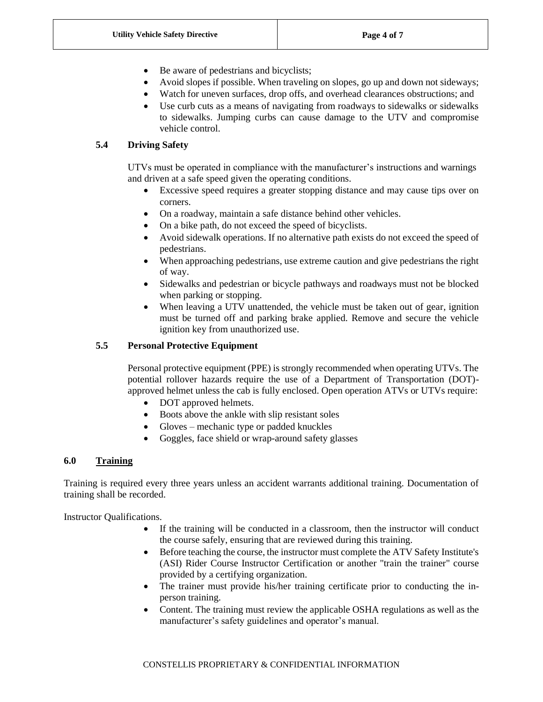- Be aware of pedestrians and bicyclists;
- Avoid slopes if possible. When traveling on slopes, go up and down not sideways;
- Watch for uneven surfaces, drop offs, and overhead clearances obstructions; and
- Use curb cuts as a means of navigating from roadways to sidewalks or sidewalks to sidewalks. Jumping curbs can cause damage to the UTV and compromise vehicle control.

## <span id="page-3-0"></span>**5.4 Driving Safety**

UTVs must be operated in compliance with the manufacturer's instructions and warnings and driven at a safe speed given the operating conditions.

- Excessive speed requires a greater stopping distance and may cause tips over on corners.
- On a roadway, maintain a safe distance behind other vehicles.
- On a bike path, do not exceed the speed of bicyclists.
- Avoid sidewalk operations. If no alternative path exists do not exceed the speed of pedestrians.
- When approaching pedestrians, use extreme caution and give pedestrians the right of way.
- Sidewalks and pedestrian or bicycle pathways and roadways must not be blocked when parking or stopping.
- When leaving a UTV unattended, the vehicle must be taken out of gear, ignition must be turned off and parking brake applied. Remove and secure the vehicle ignition key from unauthorized use.

## <span id="page-3-1"></span>**5.5 Personal Protective Equipment**

Personal protective equipment (PPE) is strongly recommended when operating UTVs. The potential rollover hazards require the use of a Department of Transportation (DOT) approved helmet unless the cab is fully enclosed. Open operation ATVs or UTVs require:

- DOT approved helmets.
- Boots above the ankle with slip resistant soles
- Gloves mechanic type or padded knuckles
- Goggles, face shield or wrap-around safety glasses

## <span id="page-3-2"></span>**6.0 Training**

Training is required every three years unless an accident warrants additional training. Documentation of training shall be recorded.

Instructor Qualifications.

- If the training will be conducted in a classroom, then the instructor will conduct the course safely, ensuring that are reviewed during this training.
- Before teaching the course, the instructor must complete the ATV Safety Institute's (ASI) Rider Course Instructor Certification or another "train the trainer" course provided by a certifying organization.
- The trainer must provide his/her training certificate prior to conducting the inperson training.
- Content. The training must review the applicable OSHA regulations as well as the manufacturer's safety guidelines and operator's manual.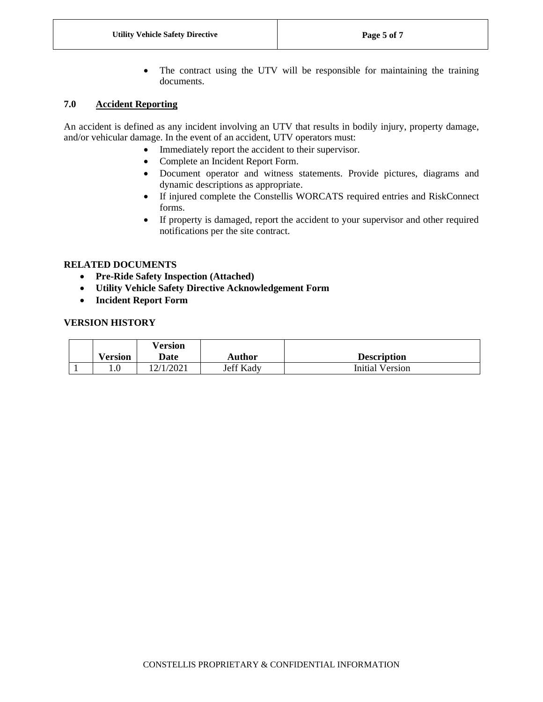• The contract using the UTV will be responsible for maintaining the training documents.

### <span id="page-4-0"></span>**7.0 Accident Reporting**

An accident is defined as any incident involving an UTV that results in bodily injury, property damage, and/or vehicular damage. In the event of an accident, UTV operators must:

- Immediately report the accident to their supervisor.
- Complete an Incident Report Form.
- Document operator and witness statements. Provide pictures, diagrams and dynamic descriptions as appropriate.
- If injured complete the Constellis WORCATS required entries and RiskConnect forms.
- If property is damaged, report the accident to your supervisor and other required notifications per the site contract.

### **RELATED DOCUMENTS**

- **Pre-Ride Safety Inspection (Attached)**
- **Utility Vehicle Safety Directive Acknowledgement Form**
- **Incident Report Form**

#### **VERSION HISTORY**

| <b>Version</b> | <b>Version</b><br>Date | <b>Author</b> | <b>Description</b> |
|----------------|------------------------|---------------|--------------------|
|                | 2/1/2021               | Jeff Kady     | Initial Version    |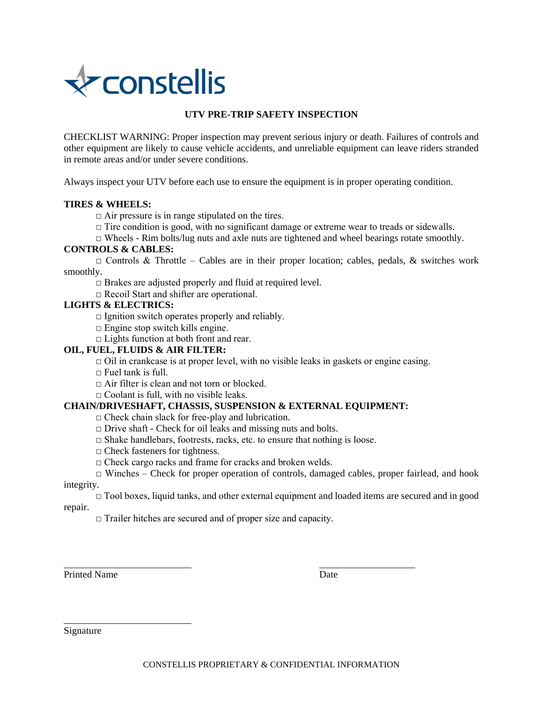

## **UTV PRE-TRIP SAFETY INSPECTION**

CHECKLIST WARNING: Proper inspection may prevent serious injury or death. Failures of controls and other equipment are likely to cause vehicle accidents, and unreliable equipment can leave riders stranded in remote areas and/or under severe conditions.

Always inspect your UTV before each use to ensure the equipment is in proper operating condition.

#### **TIRES & WHEELS:**

 $\Box$  Air pressure is in range stipulated on the tires.

 $\Box$  Tire condition is good, with no significant damage or extreme wear to treads or sidewalls.

 $\Box$  Wheels - Rim bolts/lug nuts and axle nuts are tightened and wheel bearings rotate smoothly.

# **CONTROLS & CABLES:**

 $\Box$  Controls & Throttle – Cables are in their proper location; cables, pedals, & switches work smoothly.

 $\square$  Brakes are adjusted properly and fluid at required level.

□ Recoil Start and shifter are operational.

#### **LIGHTS & ELECTRICS:**

 $\square$  Ignition switch operates properly and reliably.

 $\Box$  Engine stop switch kills engine.

□ Lights function at both front and rear.

#### **OIL, FUEL, FLUIDS & AIR FILTER:**

 $\Box$  Oil in crankcase is at proper level, with no visible leaks in gaskets or engine casing.

#### $\Box$  Fuel tank is full.

 $\Box$  Air filter is clean and not torn or blocked.

 $\Box$  Coolant is full, with no visible leaks.

#### **CHAIN/DRIVESHAFT, CHASSIS, SUSPENSION & EXTERNAL EQUIPMENT:**

 $\Box$  Check chain slack for free-play and lubrication.

- $\Box$  Drive shaft Check for oil leaks and missing nuts and bolts.
- $\Box$  Shake handlebars, footrests, racks, etc. to ensure that nothing is loose.

 $\Box$  Check fasteners for tightness.

□ Check cargo racks and frame for cracks and broken welds.

 $\Box$  Winches – Check for proper operation of controls, damaged cables, proper fairlead, and hook integrity.

 $\Box$  Tool boxes, liquid tanks, and other external equipment and loaded items are secured and in good repair.

 $\Box$  Trailer hitches are secured and of proper size and capacity.

Printed Name Date

Signature